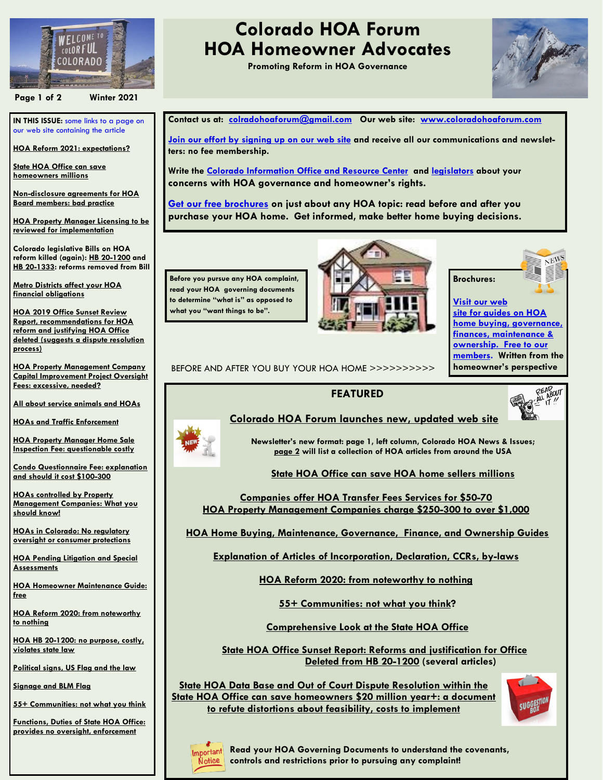<span id="page-0-0"></span>

**Page 1 of 2 Winter 2021**

**IN THIS ISSUE:** some links to a page on our web site containing the article

**[HOA Reform 2021: expectations?](http://www.coloradohoaforum.com/home-2/)**

**[State HOA Office can save](https://yourhub.denverpost.com/blog/2021/01/state-hoa-office-can-save-homeowners-millions-in-transfer-fees/269935/)  [homeowners millions](https://yourhub.denverpost.com/blog/2021/01/state-hoa-office-can-save-homeowners-millions-in-transfer-fees/269935/)**

**[Non-disclosure agreements for HOA](http://www.coloradohoaforum.com/home-2/)  [Board members: bad practice](http://www.coloradohoaforum.com/home-2/)**

**[HOA Property Manager Licensing to be](https://yourhub.denverpost.com/blog/2020/08/hoa-property-manager-licensing-to-be-written-by-industry-again/266916/)  [reviewed for implementation](https://yourhub.denverpost.com/blog/2020/08/hoa-property-manager-licensing-to-be-written-by-industry-again/266916/)**

**Colorado legislative Bills on HOA reform killed (again): [HB 20-1200](http://www.coloradohoaforum.com/__static/ba372ba031933d466117fa8205532f51/hoa-hb-20-article.pdf?dl=1) and [HB 20-1333:](https://yourhub.denverpost.com/blog/2019/10/state-hoa-data-repository-can-save-hoa-home-owners-millions/252203/) reforms removed from Bill**

**[Metro Districts affect your HOA](http://www.coloradohoaforum.com/home-4/)  [financial obligations](http://www.coloradohoaforum.com/home-4/)**

**[HOA 2019 Office Sunset Review](https://rest.edit.site/filestorage-api-service/1a9cd5a5924d50ddebf349c72c1de7b7/2019hoainfoctr-1.pdf?dl=1)  [Report, recommendations for HOA](https://rest.edit.site/filestorage-api-service/1a9cd5a5924d50ddebf349c72c1de7b7/2019hoainfoctr-1.pdf?dl=1)  [reform and justifying HOA Office](https://rest.edit.site/filestorage-api-service/1a9cd5a5924d50ddebf349c72c1de7b7/2019hoainfoctr-1.pdf?dl=1)  [deleted \(suggests a dispute resolution](https://rest.edit.site/filestorage-api-service/1a9cd5a5924d50ddebf349c72c1de7b7/2019hoainfoctr-1.pdf?dl=1)  [process\)](https://rest.edit.site/filestorage-api-service/1a9cd5a5924d50ddebf349c72c1de7b7/2019hoainfoctr-1.pdf?dl=1)**

**[HOA Property Management Company](http://www.coloradohoaforum.com/__static/16ebd93750efea22523a63e2f91cfd8c/hoa-capital-improvement-projects-and-fees-final(4).pdf?dl=1)  [Capital Improvement Project Oversight](http://www.coloradohoaforum.com/__static/16ebd93750efea22523a63e2f91cfd8c/hoa-capital-improvement-projects-and-fees-final(4).pdf?dl=1)  [Fees: excessive, needed?](http://www.coloradohoaforum.com/__static/16ebd93750efea22523a63e2f91cfd8c/hoa-capital-improvement-projects-and-fees-final(4).pdf?dl=1)**

**[All about service animals and HOAs](http://www.coloradohoaforum.com/home-8/)**

**[HOAs and Traffic Enforcement](https://yourhub.denverpost.com/blog/2020/12/hoas-and-traffic-enforcement-rules/271632/)**

**[HOA Property Manager Home Sale](https://yourhub.denverpost.com/blog/2020/12/hoa-home-sale-property-inspection-costly-questionable-income-scheme/269991/)  [Inspection Fee: questionable costly](https://yourhub.denverpost.com/blog/2020/12/hoa-home-sale-property-inspection-costly-questionable-income-scheme/269991/)**

**[Condo Questionnaire Fee: explanation](http://www.coloradohoaforum.com/__static/c886f9a747441b8f626e4faeb4924447/condominium-questionnaire(4).pdf?dl=1)  [and should it cost \\$100-300](http://www.coloradohoaforum.com/__static/c886f9a747441b8f626e4faeb4924447/condominium-questionnaire(4).pdf?dl=1)**

**[HOAs controlled by Property](https://yourhub.denverpost.com/blog/2020/11/hoas-and-property-management-companies-what-you-should-know/270354/)  [Management Companies: What you](https://yourhub.denverpost.com/blog/2020/11/hoas-and-property-management-companies-what-you-should-know/270354/)  [should know!](https://yourhub.denverpost.com/blog/2020/11/hoas-and-property-management-companies-what-you-should-know/270354/)**

**[HOAs in Colorado: No regulatory](https://yourhub.denverpost.com/blog/2020/11/hoas-in-colorado-no-regulatory-oversight-or-consumer-protections/270246/)  [oversight or consumer protections](https://yourhub.denverpost.com/blog/2020/11/hoas-in-colorado-no-regulatory-oversight-or-consumer-protections/270246/)**

**[HOA Pending Litigation and Special](https://yourhub.denverpost.com/blog/2020/10/hoa-pending-litigation-and-special-assessments/269862/)  [Assessments](https://yourhub.denverpost.com/blog/2020/10/hoa-pending-litigation-and-special-assessments/269862/)**

**[HOA Homeowner Maintenance Guide:](https://yourhub.denverpost.com/blog/2020/09/hoa-homeowner-maintenance-guide-free/268043/)  [free](https://yourhub.denverpost.com/blog/2020/09/hoa-homeowner-maintenance-guide-free/268043/)**

**[HOA Reform 2020: from noteworthy](https://yourhub.denverpost.com/blog/2020/08/hoa-reform-2020-from-noteworthy-to-nothing/266459/)  [to nothing](https://yourhub.denverpost.com/blog/2020/08/hoa-reform-2020-from-noteworthy-to-nothing/266459/)**

**[HOA HB 20-1200: no purpose, costly,](https://yourhub.denverpost.com/blog/2020/07/hoa-hb-20-1200-no-purpose-costly-violates-state-law/264690/)  [violates state law](https://yourhub.denverpost.com/blog/2020/07/hoa-hb-20-1200-no-purpose-costly-violates-state-law/264690/)**

**[Political signs, US Flag and the law](http://www.coloradohoaforum.com/home-5/)**

**[Signage and BLM Flag](https://www.westword.com/news/colorado-man-files-federal-hoa-lawsuit-over-pride-flag-blm-sign-11907837)** 

**[55+ Communities: not what you think](https://yourhub.denverpost.com/blog/2020/10/hoa-55-communities-not-what-you-think/268742/)**

**[Functions, Duties of State HOA Office:](http://www.coloradohoaforum.com/home-12/)  [provides no oversight, enforcement](http://www.coloradohoaforum.com/home-12/)**

## **Colorado HOA Forum HOA Homeowner Advocates**

**Promoting Reform in HOA Governance**



**Contact us at: [colradohoaforum@gmail.com](http://www.coloradohoaforum.com/home-17/) Our web site: [www.coloradohoaforum.com](http://www.coloradohoaforum.com)**

**[Join our effort by signing up on our web site](http://www.coloradohoaforum.com/home-17/) and receive all our communications and newsletters: no fee membership.**

**Write the [Colorado Information Office and Resource Center](https://www.colorado.gov/pacific/dora/hoa-information-and-resource-center) and [legislators](http://www.coloradohoaforum.com/home-15/) about your concerns with HOA governance and homeowner's rights.** 

**[Get our free brochures](http://www.coloradohoaforum.com/home-13/) on just about any HOA topic: read before and after you purchase your HOA home. Get informed, make better home buying decisions.**

**Before you pursue any HOA complaint, read your HOA governing documents to determine "what is" as opposed to what you "want things to be".** 





**[home buying, governance,](http://www.coloradohoaforum.com/home-13/)  [finances, maintenance &](http://www.coloradohoaforum.com/home-13/)  [ownership. Free to our](http://www.coloradohoaforum.com/home-13/)  [members.](http://www.coloradohoaforum.com/home-13/) Written from the homeowner's perspective**

BEFORE AND AFTER YOU BUY YOUR HOA HOME >>>>>>>>>>

## **FEATURED**





**[Colorado HOA Forum launches new, updated web site](https://yourhub.denverpost.com/blog/2021/02/new-hoa-website-for-homeowners-informative-revealing-problem-solving/274333/)**

**Newsletter's new format: page 1, left column, Colorado HOA News & Issues; [page 2](#page-1-0) will list a collection of HOA articles from around the USA**

**[State HOA Office can save HOA home sellers millions](https://yourhub.denverpost.com/blog/2021/01/state-hoa-office-can-save-homeowners-millions-in-transfer-fees/269935/)**

**[Companies offer HOA Transfer Fees Services for \\$50-70](https://yourhub.denverpost.com/blog/2019/09/hoa-home-sale-transfer-fees-due-for-a-change/250889/)  [HOA Property Management Companies charge \\$250-300 to over \\$1,000](https://yourhub.denverpost.com/blog/2019/09/hoa-home-sale-transfer-fees-due-for-a-change/250889/)** 

**[HOA Home Buying, Maintenance, Governance, Finance, and Ownership Guides](http://www.coloradohoaforum.com/home-13/)**

**[Explanation of Articles of Incorporation, Declaration, CCRs, by-laws](http://spectrumam.com/everything-you-need-to-know-about-hoa-bylaws-regulations-and-ccrs/)**

**[HOA Reform 2020: from noteworthy to nothing](https://yourhub.denverpost.com/blog/2020/08/hoa-reform-2020-from-noteworthy-to-nothing/266459/)**

**[55+ Communities: not what you think?](https://yourhub.denverpost.com/blog/2020/10/hoa-55-communities-not-what-you-think/268742/)**

**[Comprehensive Look at the State HOA Office](http://www.coloradohoaforum.com/home-12/)**

 **[State HOA Office Sunset Report: Reforms and justification for Office](http://www.coloradohoaforum.com/home-4/) [Deleted from HB 20-1200](http://www.coloradohoaforum.com/home-4/) (several articles)**

**[State HOA Data Base and Out of Court Dispute Resolution within the](http://www.coloradohoaforum.com/home-4/)  [State HOA Office can save homeowners \\$20 million year+: a document](http://www.coloradohoaforum.com/home-4/)  [to refute distortions about feasibility, costs to implement](http://www.coloradohoaforum.com/home-4/)**





**Read your HOA Governing Documents to understand the covenants, controls and restrictions prior to pursuing any complaint!**